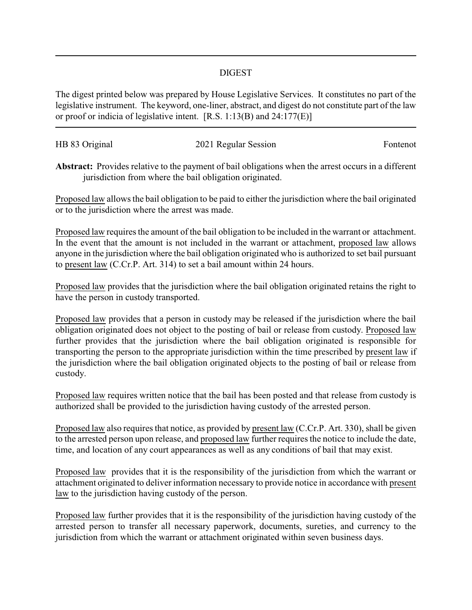## DIGEST

The digest printed below was prepared by House Legislative Services. It constitutes no part of the legislative instrument. The keyword, one-liner, abstract, and digest do not constitute part of the law or proof or indicia of legislative intent. [R.S. 1:13(B) and 24:177(E)]

| HB 83 Original | 2021 Regular Session | Fontenot |
|----------------|----------------------|----------|

**Abstract:** Provides relative to the payment of bail obligations when the arrest occurs in a different jurisdiction from where the bail obligation originated.

Proposed law allows the bail obligation to be paid to either the jurisdiction where the bail originated or to the jurisdiction where the arrest was made.

Proposed law requires the amount of the bail obligation to be included in the warrant or attachment. In the event that the amount is not included in the warrant or attachment, proposed law allows anyone in the jurisdiction where the bail obligation originated who is authorized to set bail pursuant to present law (C.Cr.P. Art. 314) to set a bail amount within 24 hours.

Proposed law provides that the jurisdiction where the bail obligation originated retains the right to have the person in custody transported.

Proposed law provides that a person in custody may be released if the jurisdiction where the bail obligation originated does not object to the posting of bail or release from custody. Proposed law further provides that the jurisdiction where the bail obligation originated is responsible for transporting the person to the appropriate jurisdiction within the time prescribed by present law if the jurisdiction where the bail obligation originated objects to the posting of bail or release from custody.

Proposed law requires written notice that the bail has been posted and that release from custody is authorized shall be provided to the jurisdiction having custody of the arrested person.

Proposed law also requires that notice, as provided by present law (C.Cr.P. Art. 330), shall be given to the arrested person upon release, and proposed law further requires the notice to include the date, time, and location of any court appearances as well as any conditions of bail that may exist.

Proposed law provides that it is the responsibility of the jurisdiction from which the warrant or attachment originated to deliver information necessary to provide notice in accordance with present law to the jurisdiction having custody of the person.

Proposed law further provides that it is the responsibility of the jurisdiction having custody of the arrested person to transfer all necessary paperwork, documents, sureties, and currency to the jurisdiction from which the warrant or attachment originated within seven business days.